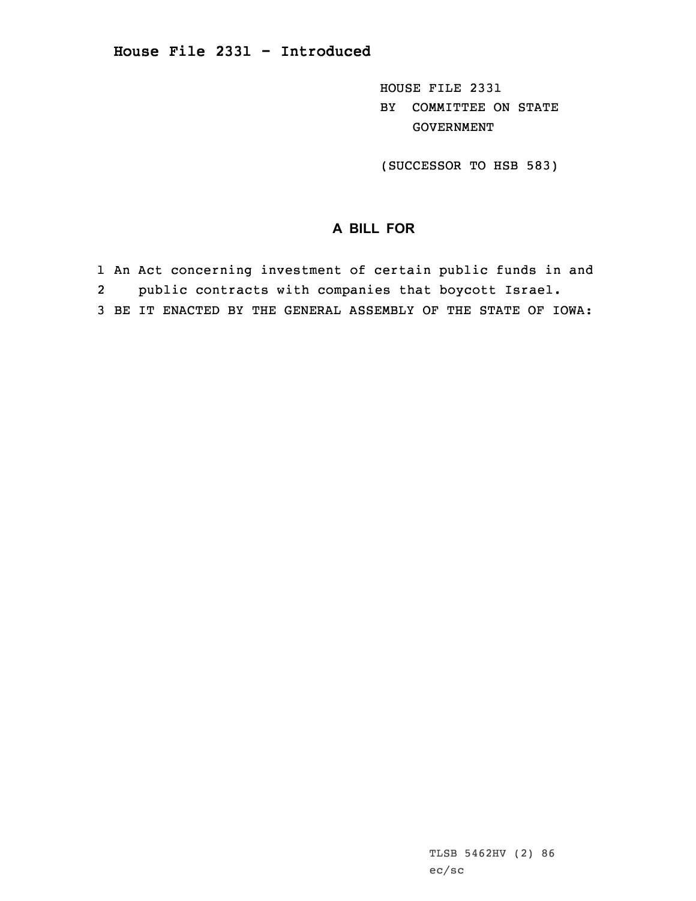HOUSE FILE 2331 BY COMMITTEE ON STATE GOVERNMENT

(SUCCESSOR TO HSB 583)

## **A BILL FOR**

- 1 An Act concerning investment of certain public funds in and
- 2public contracts with companies that boycott Israel.
- 3 BE IT ENACTED BY THE GENERAL ASSEMBLY OF THE STATE OF IOWA: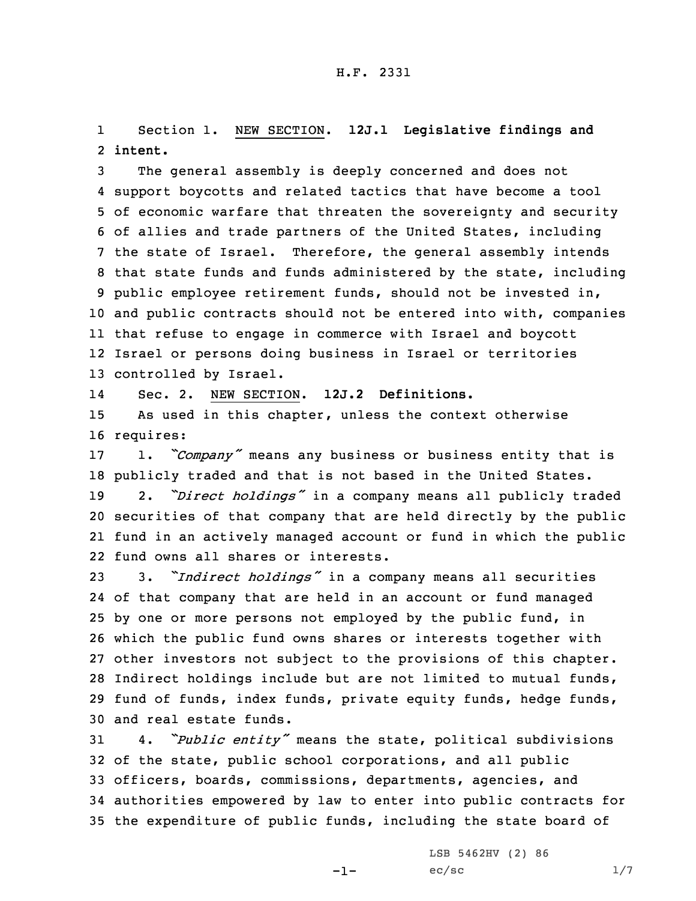1 Section 1. NEW SECTION. **12J.1 Legislative findings and** 2 **intent.**

 The general assembly is deeply concerned and does not support boycotts and related tactics that have become <sup>a</sup> tool of economic warfare that threaten the sovereignty and security of allies and trade partners of the United States, including the state of Israel. Therefore, the general assembly intends that state funds and funds administered by the state, including public employee retirement funds, should not be invested in, and public contracts should not be entered into with, companies that refuse to engage in commerce with Israel and boycott Israel or persons doing business in Israel or territories controlled by Israel.

14Sec. 2. NEW SECTION. **12J.2 Definitions.**

15 As used in this chapter, unless the context otherwise 16 requires:

 1. *"Company"* means any business or business entity that is publicly traded and that is not based in the United States. 2. *"Direct holdings"* in <sup>a</sup> company means all publicly traded securities of that company that are held directly by the public fund in an actively managed account or fund in which the public fund owns all shares or interests.

 3. *"Indirect holdings"* in <sup>a</sup> company means all securities of that company that are held in an account or fund managed by one or more persons not employed by the public fund, in which the public fund owns shares or interests together with other investors not subject to the provisions of this chapter. Indirect holdings include but are not limited to mutual funds, fund of funds, index funds, private equity funds, hedge funds, and real estate funds.

 4. *"Public entity"* means the state, political subdivisions of the state, public school corporations, and all public officers, boards, commissions, departments, agencies, and authorities empowered by law to enter into public contracts for the expenditure of public funds, including the state board of

-1-

LSB 5462HV (2) 86  $ec/sec$   $1/7$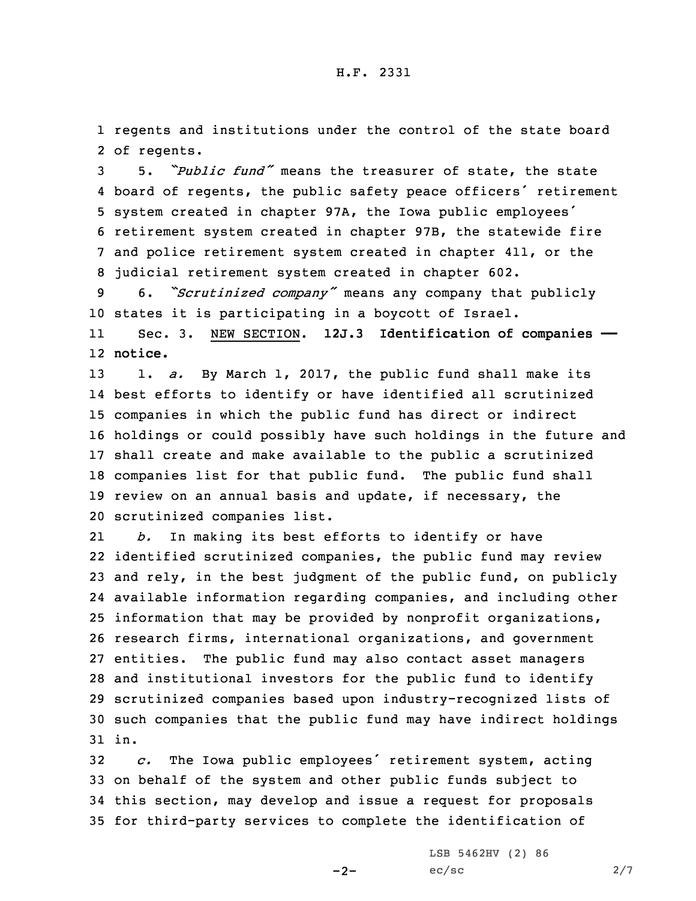1 regents and institutions under the control of the state board 2 of regents.

 5. *"Public fund"* means the treasurer of state, the state board of regents, the public safety peace officers' retirement system created in chapter 97A, the Iowa public employees' retirement system created in chapter 97B, the statewide fire and police retirement system created in chapter 411, or the judicial retirement system created in chapter 602.

<sup>9</sup> 6. *"Scrutinized company"* means any company that publicly 10 states it is participating in <sup>a</sup> boycott of Israel.

11 Sec. 3. NEW SECTION. **12J.3 Identification of companies ——** 12 **notice.**

 1. *a.* By March 1, 2017, the public fund shall make its best efforts to identify or have identified all scrutinized companies in which the public fund has direct or indirect holdings or could possibly have such holdings in the future and shall create and make available to the public <sup>a</sup> scrutinized companies list for that public fund. The public fund shall review on an annual basis and update, if necessary, the scrutinized companies list.

21 *b.* In making its best efforts to identify or have identified scrutinized companies, the public fund may review and rely, in the best judgment of the public fund, on publicly available information regarding companies, and including other information that may be provided by nonprofit organizations, research firms, international organizations, and government entities. The public fund may also contact asset managers and institutional investors for the public fund to identify scrutinized companies based upon industry-recognized lists of such companies that the public fund may have indirect holdings 31 in.

 *c.* The Iowa public employees' retirement system, acting on behalf of the system and other public funds subject to this section, may develop and issue <sup>a</sup> request for proposals for third-party services to complete the identification of

 $-2-$ 

LSB 5462HV (2) 86  $ec/sec$  2/7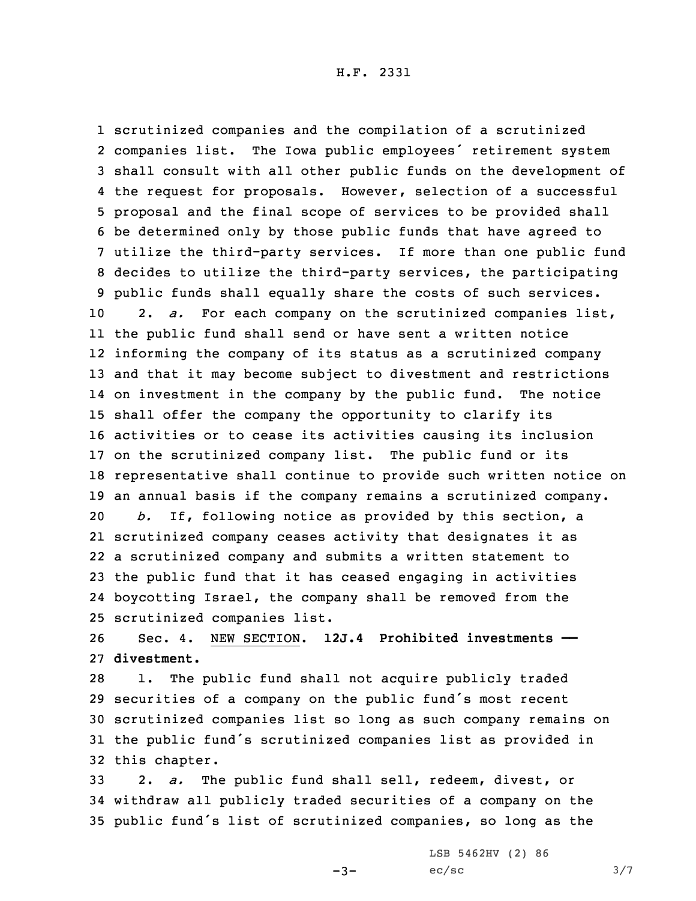scrutinized companies and the compilation of <sup>a</sup> scrutinized companies list. The Iowa public employees' retirement system shall consult with all other public funds on the development of the request for proposals. However, selection of <sup>a</sup> successful proposal and the final scope of services to be provided shall be determined only by those public funds that have agreed to utilize the third-party services. If more than one public fund decides to utilize the third-party services, the participating public funds shall equally share the costs of such services. 2. *a.* For each company on the scrutinized companies list, the public fund shall send or have sent <sup>a</sup> written notice informing the company of its status as <sup>a</sup> scrutinized company and that it may become subject to divestment and restrictions on investment in the company by the public fund. The notice shall offer the company the opportunity to clarify its activities or to cease its activities causing its inclusion on the scrutinized company list. The public fund or its representative shall continue to provide such written notice on an annual basis if the company remains <sup>a</sup> scrutinized company. *b.* If, following notice as provided by this section, <sup>a</sup> scrutinized company ceases activity that designates it as <sup>a</sup> scrutinized company and submits <sup>a</sup> written statement to the public fund that it has ceased engaging in activities boycotting Israel, the company shall be removed from the scrutinized companies list.

26 Sec. 4. NEW SECTION. **12J.4 Prohibited investments ——** 27 **divestment.**

 1. The public fund shall not acquire publicly traded securities of <sup>a</sup> company on the public fund's most recent scrutinized companies list so long as such company remains on the public fund's scrutinized companies list as provided in this chapter.

33 2. *a.* The public fund shall sell, redeem, divest, or 34 withdraw all publicly traded securities of <sup>a</sup> company on the <sup>35</sup> public fund's list of scrutinized companies, so long as the

 $-3-$ 

LSB 5462HV (2) 86  $ec/sec$   $3/7$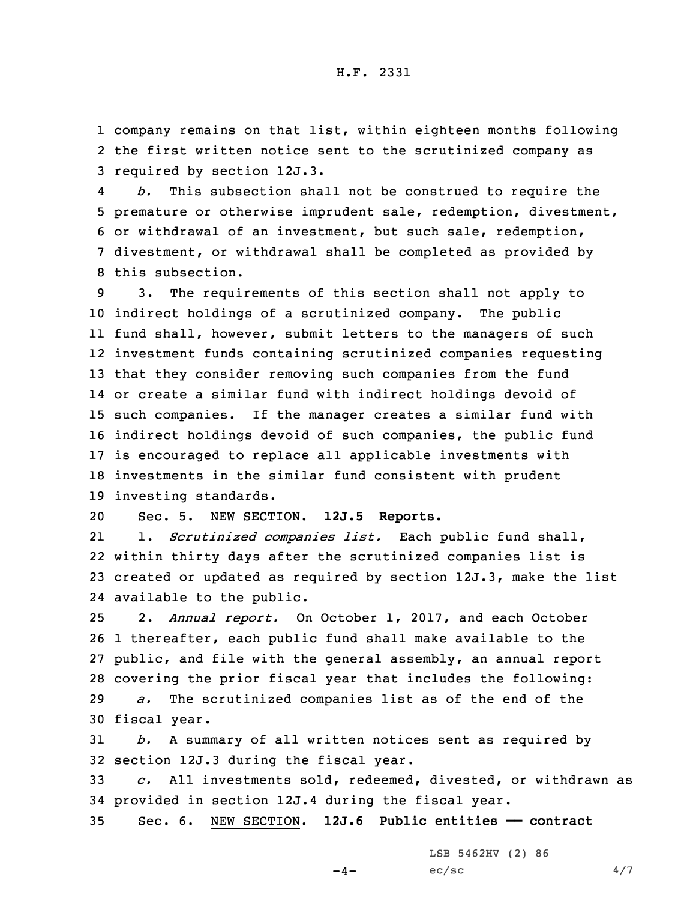1 company remains on that list, within eighteen months following 2 the first written notice sent to the scrutinized company as 3 required by section 12J.3.

4 *b.* This subsection shall not be construed to require the premature or otherwise imprudent sale, redemption, divestment, or withdrawal of an investment, but such sale, redemption, divestment, or withdrawal shall be completed as provided by this subsection.

 3. The requirements of this section shall not apply to indirect holdings of <sup>a</sup> scrutinized company. The public fund shall, however, submit letters to the managers of such investment funds containing scrutinized companies requesting that they consider removing such companies from the fund or create <sup>a</sup> similar fund with indirect holdings devoid of such companies. If the manager creates <sup>a</sup> similar fund with indirect holdings devoid of such companies, the public fund is encouraged to replace all applicable investments with investments in the similar fund consistent with prudent investing standards.

20 Sec. 5. NEW SECTION. **12J.5 Reports.**

21 1. *Scrutinized companies list.* Each public fund shall, 22 within thirty days after the scrutinized companies list is 23 created or updated as required by section 12J.3, make the list 24 available to the public.

 2. *Annual report.* On October 1, 2017, and each October 1 thereafter, each public fund shall make available to the public, and file with the general assembly, an annual report covering the prior fiscal year that includes the following: *a.* The scrutinized companies list as of the end of the fiscal year.

31 *b.* <sup>A</sup> summary of all written notices sent as required by 32 section 12J.3 during the fiscal year.

33 *c.* All investments sold, redeemed, divested, or withdrawn as 34 provided in section 12J.4 during the fiscal year.

35 Sec. 6. NEW SECTION. **12J.6 Public entities —— contract**

 $-4-$ 

LSB 5462HV (2) 86  $ec/sec$  4/7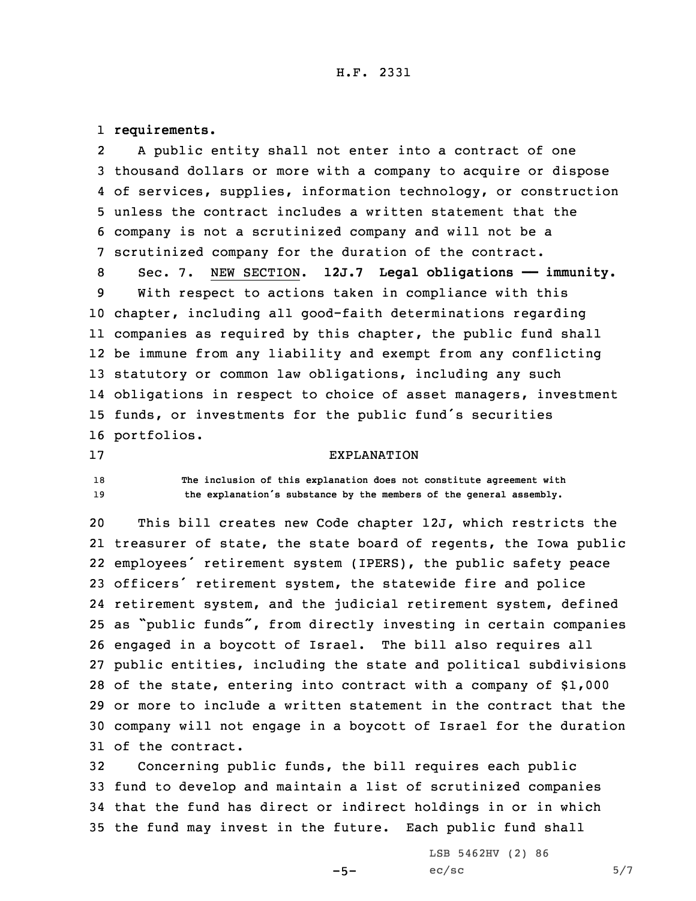## H.F. 2331

1 **requirements.**

2 <sup>A</sup> public entity shall not enter into <sup>a</sup> contract of one thousand dollars or more with <sup>a</sup> company to acquire or dispose of services, supplies, information technology, or construction unless the contract includes <sup>a</sup> written statement that the company is not <sup>a</sup> scrutinized company and will not be <sup>a</sup> scrutinized company for the duration of the contract. Sec. 7. NEW SECTION. **12J.7 Legal obligations —— immunity.** With respect to actions taken in compliance with this chapter, including all good-faith determinations regarding companies as required by this chapter, the public fund shall

 be immune from any liability and exempt from any conflicting statutory or common law obligations, including any such obligations in respect to choice of asset managers, investment funds, or investments for the public fund's securities portfolios.

17 EXPLANATION

18 **The inclusion of this explanation does not constitute agreement with** <sup>19</sup> **the explanation's substance by the members of the general assembly.**

 This bill creates new Code chapter 12J, which restricts the treasurer of state, the state board of regents, the Iowa public employees' retirement system (IPERS), the public safety peace officers' retirement system, the statewide fire and police retirement system, and the judicial retirement system, defined as "public funds", from directly investing in certain companies engaged in <sup>a</sup> boycott of Israel. The bill also requires all public entities, including the state and political subdivisions of the state, entering into contract with <sup>a</sup> company of \$1,000 or more to include <sup>a</sup> written statement in the contract that the company will not engage in <sup>a</sup> boycott of Israel for the duration of the contract.

 Concerning public funds, the bill requires each public fund to develop and maintain <sup>a</sup> list of scrutinized companies that the fund has direct or indirect holdings in or in which the fund may invest in the future. Each public fund shall

 $-5-$ 

LSB 5462HV (2) 86  $ec/sec$  5/7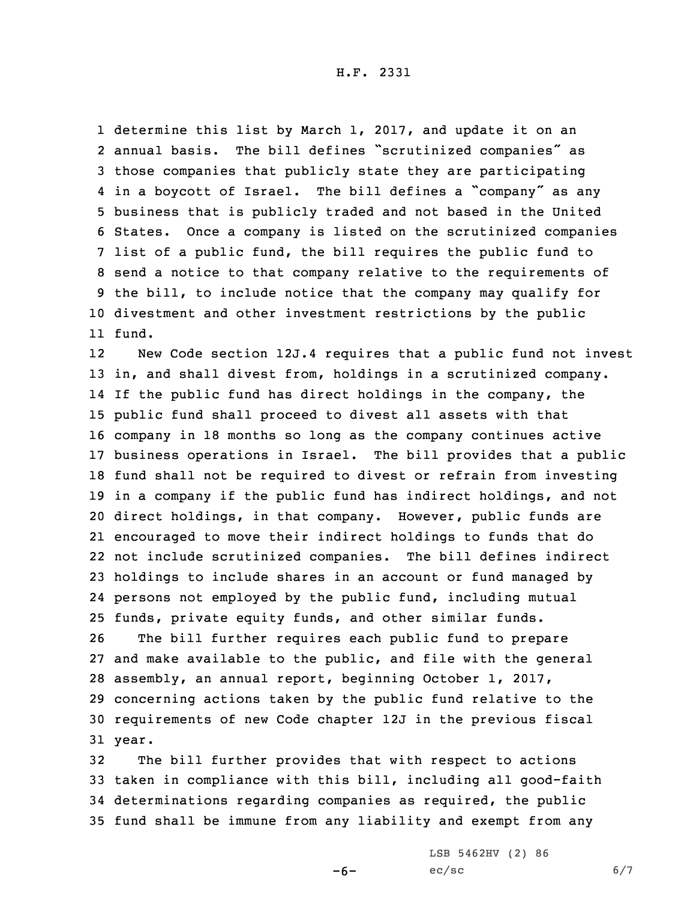H.F. 2331

 determine this list by March 1, 2017, and update it on an annual basis. The bill defines "scrutinized companies" as those companies that publicly state they are participating in <sup>a</sup> boycott of Israel. The bill defines <sup>a</sup> "company" as any business that is publicly traded and not based in the United States. Once <sup>a</sup> company is listed on the scrutinized companies list of <sup>a</sup> public fund, the bill requires the public fund to send <sup>a</sup> notice to that company relative to the requirements of the bill, to include notice that the company may qualify for divestment and other investment restrictions by the public 11 fund.

12 New Code section 12J.4 requires that <sup>a</sup> public fund not invest in, and shall divest from, holdings in <sup>a</sup> scrutinized company. If the public fund has direct holdings in the company, the public fund shall proceed to divest all assets with that company in 18 months so long as the company continues active business operations in Israel. The bill provides that <sup>a</sup> public fund shall not be required to divest or refrain from investing in <sup>a</sup> company if the public fund has indirect holdings, and not direct holdings, in that company. However, public funds are encouraged to move their indirect holdings to funds that do not include scrutinized companies. The bill defines indirect holdings to include shares in an account or fund managed by persons not employed by the public fund, including mutual funds, private equity funds, and other similar funds.

 The bill further requires each public fund to prepare and make available to the public, and file with the general assembly, an annual report, beginning October 1, 2017, concerning actions taken by the public fund relative to the requirements of new Code chapter 12J in the previous fiscal 31 year.

 The bill further provides that with respect to actions taken in compliance with this bill, including all good-faith determinations regarding companies as required, the public fund shall be immune from any liability and exempt from any

 $-6-$ 

LSB 5462HV (2) 86  $ec/sec$  6/7